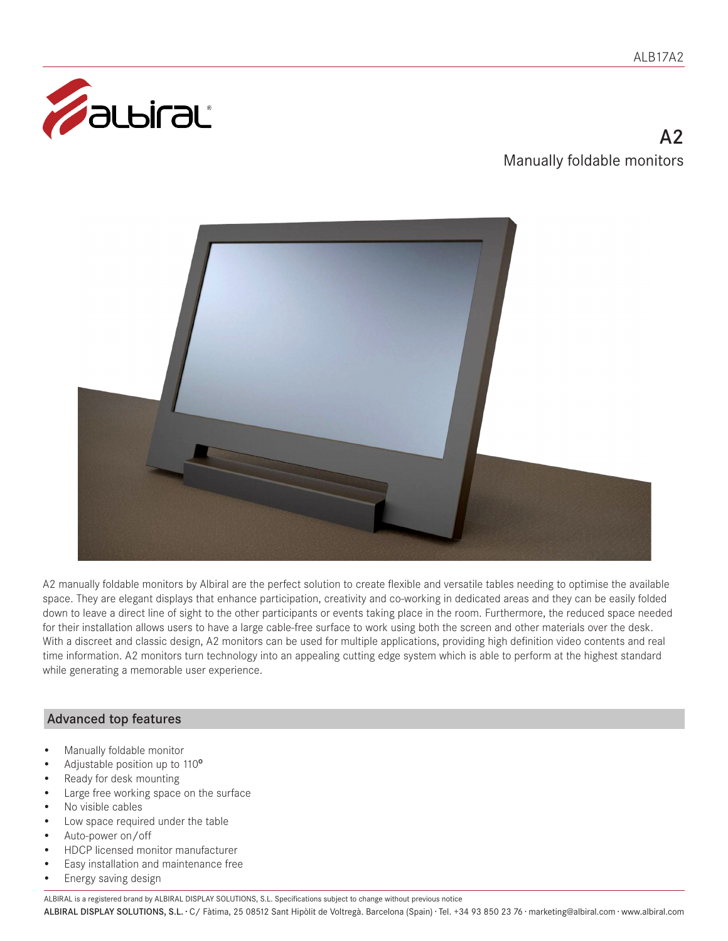

# $\Delta$ Manually foldable monitors



A2 manually foldable monitors by Albiral are the perfect solution to create flexible and versatile tables needing to optimise the available space. They are elegant displays that enhance participation, creativity and co-working in dedicated areas and they can be easily folded down to leave a direct line of sight to the other participants or events taking place in the room. Furthermore, the reduced space needed for their installation allows users to have a large cable-free surface to work using both the screen and other materials over the desk. With a discreet and classic design, A2 monitors can be used for multiple applications, providing high definition video contents and real time information. A2 monitors turn technology into an appealing cutting edge system which is able to perform at the highest standard while generating a memorable user experience.

## Advanced top features

- Manually foldable monitor
- Adjustable position up to 110º
- Ready for desk mounting
- Large free working space on the surface
- No visible cables
- Low space required under the table
- Auto-power on/off
- HDCP licensed monitor manufacturer
- Easy installation and maintenance free
- Energy saving design

ALBIRAL is a registered brand by ALBIRAL DISPLAY SOLUTIONS, S.L. Specifications subject to change without previous notice

ALBIRAL DISPLAY SOLUTIONS, S.L. · C/ Fàtima, 25 08512 Sant Hipòlit de Voltregà. Barcelona (Spain) · Tel. +34 93 850 23 76 · marketing@albiral.com · www.albiral.com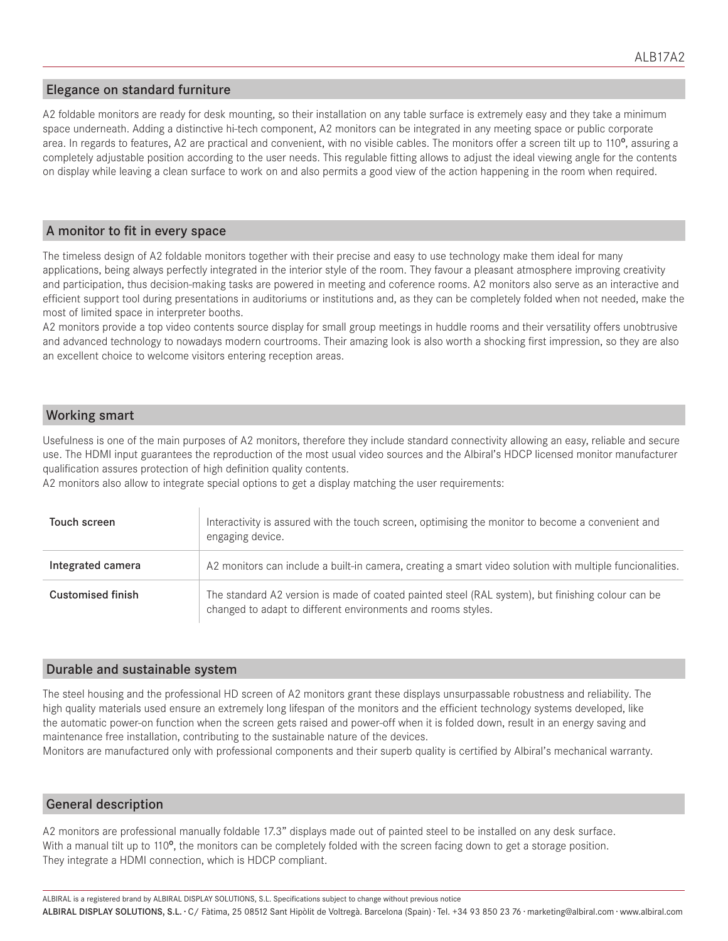### Elegance on standard furniture

A2 foldable monitors are ready for desk mounting, so their installation on any table surface is extremely easy and they take a minimum space underneath. Adding a distinctive hi-tech component, A2 monitors can be integrated in any meeting space or public corporate area. In regards to features, A2 are practical and convenient, with no visible cables. The monitors offer a screen tilt up to 110<sup>o</sup>, assuring a completely adjustable position according to the user needs. This regulable fitting allows to adjust the ideal viewing angle for the contents on display while leaving a clean surface to work on and also permits a good view of the action happening in the room when required.

#### A monitor to fit in every space

The timeless design of A2 foldable monitors together with their precise and easy to use technology make them ideal for many applications, being always perfectly integrated in the interior style of the room. They favour a pleasant atmosphere improving creativity and participation, thus decision-making tasks are powered in meeting and coference rooms. A2 monitors also serve as an interactive and efficient support tool during presentations in auditoriums or institutions and, as they can be completely folded when not needed, make the most of limited space in interpreter booths.

A2 monitors provide a top video contents source display for small group meetings in huddle rooms and their versatility offers unobtrusive and advanced technology to nowadays modern courtrooms. Their amazing look is also worth a shocking first impression, so they are also an excellent choice to welcome visitors entering reception areas.

## Working smart

Usefulness is one of the main purposes of A2 monitors, therefore they include standard connectivity allowing an easy, reliable and secure use. The HDMI input guarantees the reproduction of the most usual video sources and the Albiral's HDCP licensed monitor manufacturer qualification assures protection of high definition quality contents.

A2 monitors also allow to integrate special options to get a display matching the user requirements:

| Touch screen             | Interactivity is assured with the touch screen, optimising the monitor to become a convenient and<br>engaging device.                                             |
|--------------------------|-------------------------------------------------------------------------------------------------------------------------------------------------------------------|
| Integrated camera        | A2 monitors can include a built-in camera, creating a smart video solution with multiple funcionalities.                                                          |
| <b>Customised finish</b> | The standard A2 version is made of coated painted steel (RAL system), but finishing colour can be<br>changed to adapt to different environments and rooms styles. |

#### Durable and sustainable system

The steel housing and the professional HD screen of A2 monitors grant these displays unsurpassable robustness and reliability. The high quality materials used ensure an extremely long lifespan of the monitors and the efficient technology systems developed, like the automatic power-on function when the screen gets raised and power-off when it is folded down, result in an energy saving and maintenance free installation, contributing to the sustainable nature of the devices.

Monitors are manufactured only with professional components and their superb quality is certified by Albiral's mechanical warranty.

### General description

A2 monitors are professional manually foldable 17.3" displays made out of painted steel to be installed on any desk surface. With a manual tilt up to 110<sup>o</sup>, the monitors can be completely folded with the screen facing down to get a storage position. They integrate a HDMI connection, which is HDCP compliant.

ALBIRAL DISPLAY SOLUTIONS, S.L. · C/ Fàtima, 25 08512 Sant Hipòlit de Voltregà. Barcelona (Spain) · Tel. +34 93 850 23 76 · marketing@albiral.com · www.albiral.com ALBIRAL is a registered brand by ALBIRAL DISPLAY SOLUTIONS, S.L. Specifications subject to change without previous notice